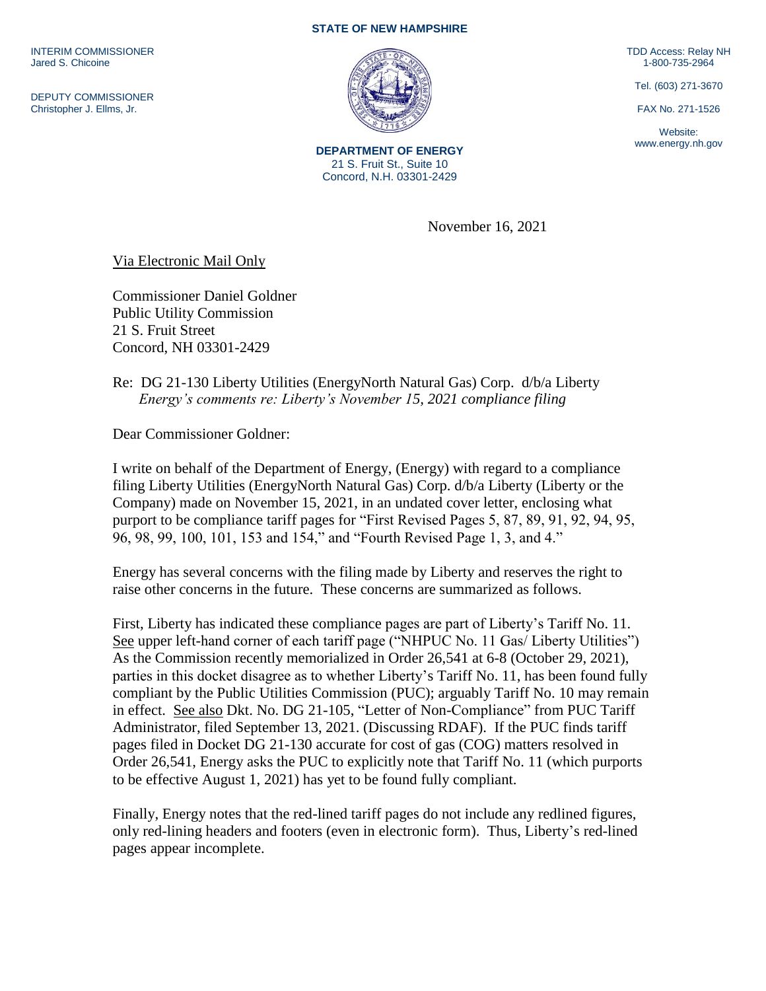INTERIM COMMISSIONER Jared S. Chicoine

DEPUTY COMMISSIONER Christopher J. Ellms, Jr.

## **STATE OF NEW HAMPSHIRE**



**DEPARTMENT OF ENERGY** 21 S. Fruit St., Suite 10 Concord, N.H. 03301-2429

TDD Access: Relay NH 1-800-735-2964

Tel. (603) 271-3670

FAX No. 271-1526

Website: www.energy.nh.gov

November 16, 2021

Via Electronic Mail Only

Commissioner Daniel Goldner Public Utility Commission 21 S. Fruit Street Concord, NH 03301-2429

Re: DG 21-130 Liberty Utilities (EnergyNorth Natural Gas) Corp. d/b/a Liberty *Energy's comments re: Liberty's November 15, 2021 compliance filing*

Dear Commissioner Goldner:

I write on behalf of the Department of Energy, (Energy) with regard to a compliance filing Liberty Utilities (EnergyNorth Natural Gas) Corp. d/b/a Liberty (Liberty or the Company) made on November 15, 2021, in an undated cover letter, enclosing what purport to be compliance tariff pages for "First Revised Pages 5, 87, 89, 91, 92, 94, 95, 96, 98, 99, 100, 101, 153 and 154," and "Fourth Revised Page 1, 3, and 4."

Energy has several concerns with the filing made by Liberty and reserves the right to raise other concerns in the future. These concerns are summarized as follows.

First, Liberty has indicated these compliance pages are part of Liberty's Tariff No. 11. See upper left-hand corner of each tariff page ("NHPUC No. 11 Gas/ Liberty Utilities") As the Commission recently memorialized in Order 26,541 at 6-8 (October 29, 2021), parties in this docket disagree as to whether Liberty's Tariff No. 11, has been found fully compliant by the Public Utilities Commission (PUC); arguably Tariff No. 10 may remain in effect. See also Dkt. No. DG 21-105, "Letter of Non-Compliance" from PUC Tariff Administrator, filed September 13, 2021. (Discussing RDAF). If the PUC finds tariff pages filed in Docket DG 21-130 accurate for cost of gas (COG) matters resolved in Order 26,541, Energy asks the PUC to explicitly note that Tariff No. 11 (which purports to be effective August 1, 2021) has yet to be found fully compliant.

Finally, Energy notes that the red-lined tariff pages do not include any redlined figures, only red-lining headers and footers (even in electronic form). Thus, Liberty's red-lined pages appear incomplete.